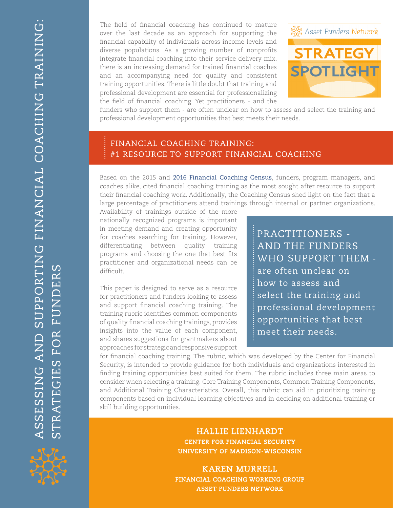The field of financial coaching has continued to mature over the last decade as an approach for supporting the financial capability of individuals across income levels and diverse populations. As a growing number of nonprofits integrate financial coaching into their service delivery mix, there is an increasing demand for trained financial coaches and an accompanying need for quality and consistent training opportunities. There is little doubt that training and professional development are essential for professionalizing the field of financial coaching. Yet practitioners - and the



funders who support them - are often unclear on how to assess and select the training and professional development opportunities that best meets their needs.

### FINANCIAL COACHING TRAINING: #1 resource to support Financial Coaching

Based on the 2015 and [2016 Financial Coaching Census](http://assetfunders.org/images/pages/AFN_Financial_Census_Brief_2016.pdf), funders, program managers, and coaches alike, cited financial coaching training as the most sought after resource to support their financial coaching work. Additionally, the Coaching Census shed light on the fact that a large percentage of practitioners attend trainings through internal or partner organizations.

Availability of trainings outside of the more nationally recognized programs is important in meeting demand and creating opportunity for coaches searching for training. However, differentiating between quality training programs and choosing the one that best fits practitioner and organizational needs can be difficult.

This paper is designed to serve as a resource for practitioners and funders looking to assess and support financial coaching training. The training rubric identifies common components of quality financial coaching trainings, provides insights into the value of each component, and shares suggestions for grantmakers about approaches for strategic and responsive support practitioners and the funders who support them are often unclear on how to assess and select the training and professional development opportunities that best meet their needs.

for financial coaching training. The rubric, which was developed by the Center for Financial Security, is intended to provide guidance for both individuals and organizations interested in finding training opportunities best suited for them. The rubric includes three main areas to consider when selecting a training: Core Training Components, Common Training Components, and Additional Training Characteristics. Overall, this rubric can aid in prioritizing training components based on individual learning objectives and in deciding on additional training or skill building opportunities.

> Hallie Lienhardt Center for Financial Security university of madison-wisconsin

karen murrell financial coaching working group asset funders network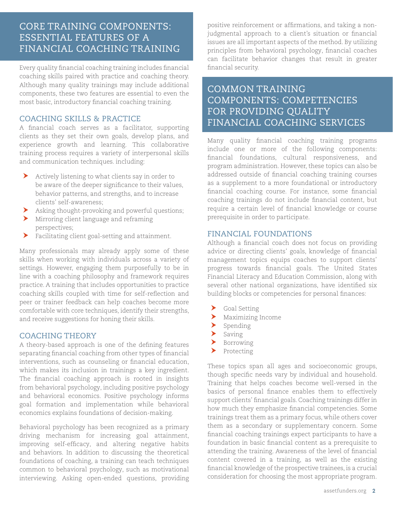### Core Training Components: Essential Features of a Financial Coaching Training

Every quality financial coaching training includes financial coaching skills paired with practice and coaching theory. Although many quality trainings may include additional components, these two features are essential to even the most basic, introductory financial coaching training.

### Coaching Skills & Practice

A financial coach serves as a facilitator, supporting clients as they set their own goals, develop plans, and experience growth and learning. This collaborative training process requires a variety of interpersonal skills and communication techniques. including:

- $\blacktriangleright$  Actively listening to what clients say in order to be aware of the deeper significance to their values, behavior patterns, and strengths, and to increase clients' self-awareness;
- h Asking thought-provoking and powerful questions;
- $\blacktriangleright$  Mirroring client language and reframing perspectives;
- Facilitating client goal-setting and attainment.

Many professionals may already apply some of these skills when working with individuals across a variety of settings. However, engaging them purposefully to be in line with a coaching philosophy and framework requires practice. A training that includes opportunities to practice coaching skills coupled with time for self-reflection and peer or trainer feedback can help coaches become more comfortable with core techniques, identify their strengths, and receive suggestions for honing their skills.

### **COACHING THEORY**

A theory-based approach is one of the defining features separating financial coaching from other types of financial interventions, such as counseling or financial education, which makes its inclusion in trainings a key ingredient. The financial coaching approach is rooted in insights from behavioral psychology, including positive psychology and behavioral economics. Positive psychology informs goal formation and implementation while behavioral economics explains foundations of decision-making.

Behavioral psychology has been recognized as a primary driving mechanism for increasing goal attainment, improving self-efficacy, and altering negative habits and behaviors. In addition to discussing the theoretical foundations of coaching, a training can teach techniques common to behavioral psychology, such as motivational interviewing. Asking open-ended questions, providing positive reinforcement or affirmations, and taking a nonjudgmental approach to a client's situation or financial issues are all important aspects of the method. By utilizing principles from behavioral psychology, financial coaches can facilitate behavior changes that result in greater financial security.

## common Training Components: Competencies FOR PROVIDING OUALITY Financial Coaching Services

Many quality financial coaching training programs include one or more of the following components: financial foundations, cultural responsiveness, and program administration. However, these topics can also be addressed outside of financial coaching training courses as a supplement to a more foundational or introductory financial coaching course. For instance, some financial coaching trainings do not include financial content, but require a certain level of financial knowledge or course prerequisite in order to participate.

#### Financial Foundations

Although a financial coach does not focus on providing advice or directing clients' goals, knowledge of financial management topics equips coaches to support clients' progress towards financial goals. The United States Financial Literacy and Education Commission, along with several other national organizations, have identified six building blocks or competencies for personal finances:

- $\blacktriangleright$  Goal Setting
- $\blacktriangleright$  Maximizing Income
- $\blacktriangleright$  Spending
- $\blacktriangleright$  Saving
- $\blacktriangleright$  Borrowing
- $\rho$  Protecting

These topics span all ages and socioeconomic groups, though specific needs vary by individual and household. Training that helps coaches become well-versed in the basics of personal finance enables them to effectively support clients' financial goals. Coaching trainings differ in how much they emphasize financial competencies. Some trainings treat them as a primary focus, while others cover them as a secondary or supplementary concern. Some financial coaching trainings expect participants to have a foundation in basic financial content as a prerequisite to attending the training. Awareness of the level of financial content covered in a training, as well as the existing financial knowledge of the prospective trainees, is a crucial consideration for choosing the most appropriate program.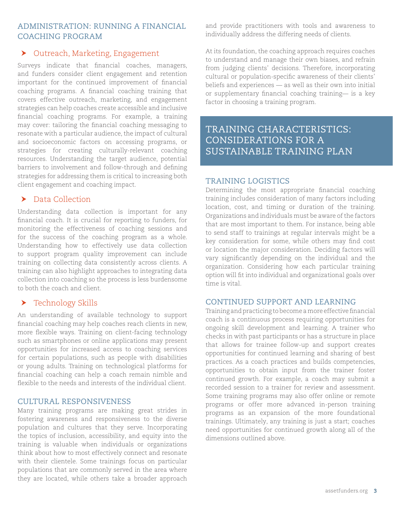### Administration: Running a Financial Coaching Program

### ▶ Outreach, Marketing, Engagement

Surveys indicate that financial coaches, managers, and funders consider client engagement and retention important for the continued improvement of financial coaching programs. A financial coaching training that covers effective outreach, marketing, and engagement strategies can help coaches create accessible and inclusive financial coaching programs. For example, a training may cover: tailoring the financial coaching messaging to resonate with a particular audience, the impact of cultural and socioeconomic factors on accessing programs, or strategies for creating culturally-relevant coaching resources. Understanding the target audience, potential barriers to involvement and follow-through and defining strategies for addressing them is critical to increasing both client engagement and coaching impact.

### $\blacktriangleright$  Data Collection

Understanding data collection is important for any financial coach. It is crucial for reporting to funders, for monitoring the effectiveness of coaching sessions and for the success of the coaching program as a whole. Understanding how to effectively use data collection to support program quality improvement can include training on collecting data consistently across clients. A training can also highlight approaches to integrating data collection into coaching so the process is less burdensome to both the coach and client.

### $\blacktriangleright$  Technology Skills

An understanding of available technology to support financial coaching may help coaches reach clients in new, more flexible ways. Training on client-facing technology such as smartphones or online applications may present opportunities for increased access to coaching services for certain populations, such as people with disabilities or young adults. Training on technological platforms for financial coaching can help a coach remain nimble and flexible to the needs and interests of the individual client.

### Cultural Responsiveness

Many training programs are making great strides in fostering awareness and responsiveness to the diverse population and cultures that they serve. Incorporating the topics of inclusion, accessibility, and equity into the training is valuable when individuals or organizations think about how to most effectively connect and resonate with their clientele. Some trainings focus on particular populations that are commonly served in the area where they are located, while others take a broader approach

and provide practitioners with tools and awareness to individually address the differing needs of clients.

At its foundation, the coaching approach requires coaches to understand and manage their own biases, and refrain from judging clients' decisions. Therefore, incorporating cultural or population-specific awareness of their clients' beliefs and experiences — as well as their own into initial or supplementary financial coaching training— is a key factor in choosing a training program.

# TRAINING CHARACTERISTICS: Considerations for a Sustainable Training Plan

### Training Logistics

Determining the most appropriate financial coaching training includes consideration of many factors including location, cost, and timing or duration of the training. Organizations and individuals must be aware of the factors that are most important to them. For instance, being able to send staff to trainings at regular intervals might be a key consideration for some, while others may find cost or location the major consideration. Deciding factors will vary significantly depending on the individual and the organization. Considering how each particular training option will fit into individual and organizational goals over time is vital.

#### CONTINUED SUPPORT AND LEARNING

Training and practicing to become a more effective financial coach is a continuous process requiring opportunities for ongoing skill development and learning. A trainer who checks in with past participants or has a structure in place that allows for trainee follow-up and support creates opportunities for continued learning and sharing of best practices. As a coach practices and builds competencies, opportunities to obtain input from the trainer foster continued growth. For example, a coach may submit a recorded session to a trainer for review and assessment. Some training programs may also offer online or remote programs or offer more advanced in-person training programs as an expansion of the more foundational trainings. Ultimately, any training is just a start; coaches need opportunities for continued growth along all of the dimensions outlined above.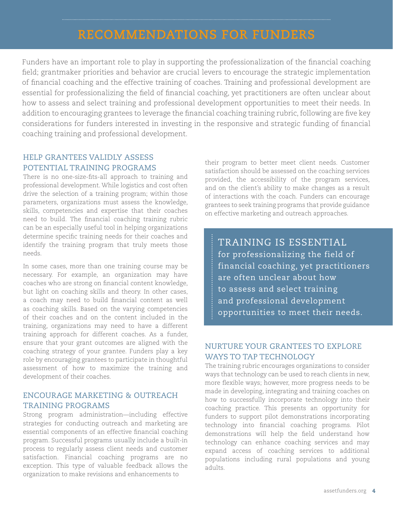# recommendations for Funders

Funders have an important role to play in supporting the professionalization of the financial coaching field; grantmaker priorities and behavior are crucial levers to encourage the strategic implementation of financial coaching and the effective training of coaches. Training and professional development are essential for professionalizing the field of financial coaching, yet practitioners are often unclear about how to assess and select training and professional development opportunities to meet their needs. In addition to encouraging grantees to leverage the financial coaching training rubric, following are five key considerations for funders interested in investing in the responsive and strategic funding of financial coaching training and professional development.

### Help Grantees Validly Assess Potential Training Programs

There is no one-size-fits-all approach to training and professional development. While logistics and cost often drive the selection of a training program; within those parameters, organizations must assess the knowledge, skills, competencies and expertise that their coaches need to build. The financial coaching training rubric can be an especially useful tool in helping organizations determine specific training needs for their coaches and identify the training program that truly meets those needs.

In some cases, more than one training course may be necessary. For example, an organization may have coaches who are strong on financial content knowledge, but light on coaching skills and theory. In other cases, a coach may need to build financial content as well as coaching skills. Based on the varying competencies of their coaches and on the content included in the training, organizations may need to have a different training approach for different coaches. As a funder, ensure that your grant outcomes are aligned with the coaching strategy of your grantee. Funders play a key role by encouraging grantees to participate in thoughtful assessment of how to maximize the training and development of their coaches.

### Encourage Marketing & Outreach Training Programs

Strong program administration—including effective strategies for conducting outreach and marketing are essential components of an effective financial coaching program. Successful programs usually include a built-in process to regularly assess client needs and customer satisfaction. Financial coaching programs are no exception. This type of valuable feedback allows the organization to make revisions and enhancements to

their program to better meet client needs. Customer satisfaction should be assessed on the coaching services provided, the accessibility of the program services, and on the client's ability to make changes as a result of interactions with the coach. Funders can encourage grantees to seek training programs that provide guidance on effective marketing and outreach approaches.

TRAINING IS ESSENTIAL for professionalizing the field of financial coaching, yet practitioners are often unclear about how to assess and select training and professional development opportunities to meet their needs.

### Nurture your Grantees to Explore WAYS TO TAP TECHNOLOGY

The training rubric encourages organizations to consider ways that technology can be used to reach clients in new, more flexible ways; however, more progress needs to be made in developing, integrating and training coaches on how to successfully incorporate technology into their coaching practice. This presents an opportunity for funders to support pilot demonstrations incorporating technology into financial coaching programs. Pilot demonstrations will help the field understand how technology can enhance coaching services and may expand access of coaching services to additional populations including rural populations and young adults.